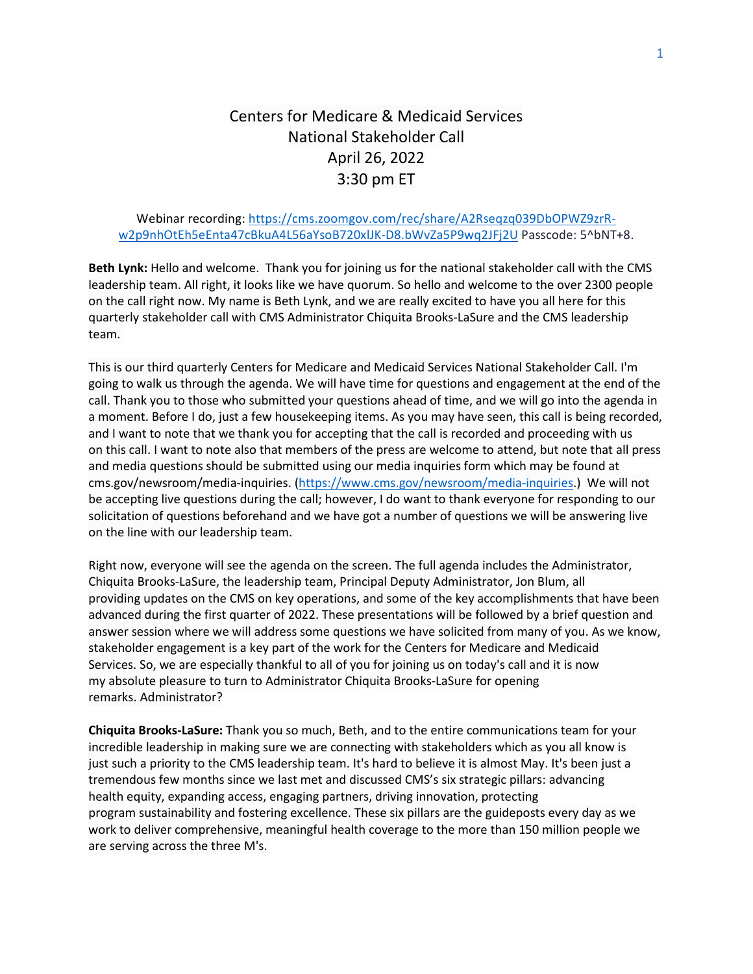## Centers for Medicare & Medicaid Services National Stakeholder Call April 26, 2022 3:30 pm ET

## Webinar recording: [https://cms.zoomgov.com/rec/share/A2Rseqzq039DbOPWZ9zrR](https://cms.zoomgov.com/rec/share/A2Rseqzq039DbOPWZ9zrR-w2p9nhOtEh5eEnta47cBkuA4L56aYsoB720xlJK-D8.bWvZa5P9wq2JFj2U)[w2p9nhOtEh5eEnta47cBkuA4L56aYsoB720xlJK-D8.bWvZa5P9wq2JFj2U](https://cms.zoomgov.com/rec/share/A2Rseqzq039DbOPWZ9zrR-w2p9nhOtEh5eEnta47cBkuA4L56aYsoB720xlJK-D8.bWvZa5P9wq2JFj2U) Passcode: 5^bNT+8.

**Beth Lynk:** Hello and welcome. Thank you for joining us for the national stakeholder call with the CMS leadership team. All right, it looks like we have quorum. So hello and welcome to the over 2300 people on the call right now. My name is Beth Lynk, and we are really excited to have you all here for this quarterly stakeholder call with CMS Administrator Chiquita Brooks-LaSure and the CMS leadership team.

This is our third quarterly Centers for Medicare and Medicaid Services National Stakeholder Call. I'm going to walk us through the agenda. We will have time for questions and engagement at the end of the call. Thank you to those who submitted your questions ahead of time, and we will go into the agenda in a moment. Before I do, just a few housekeeping items. As you may have seen, this call is being recorded, and I want to note that we thank you for accepting that the call is recorded and proceeding with us on this call. I want to note also that members of the press are welcome to attend, but note that all press and media questions should be submitted using our media inquiries form which may be found at cms.gov/newsroom/media-inquiries. [\(https://www.cms.gov/newsroom/media-inquiries.](https://www.cms.gov/newsroom/media-inquiries)) We will not be accepting live questions during the call; however, I do want to thank everyone for responding to our solicitation of questions beforehand and we have got a number of questions we will be answering live on the line with our leadership team.

Right now, everyone will see the agenda on the screen. The full agenda includes the Administrator, Chiquita Brooks-LaSure, the leadership team, Principal Deputy Administrator, Jon Blum, all providing updates on the CMS on key operations, and some of the key accomplishments that have been advanced during the first quarter of 2022. These presentations will be followed by a brief question and answer session where we will address some questions we have solicited from many of you. As we know, stakeholder engagement is a key part of the work for the Centers for Medicare and Medicaid Services. So, we are especially thankful to all of you for joining us on today's call and it is now my absolute pleasure to turn to Administrator Chiquita Brooks-LaSure for opening remarks. Administrator?

**Chiquita Brooks-LaSure:** Thank you so much, Beth, and to the entire communications team for your incredible leadership in making sure we are connecting with stakeholders which as you all know is just such a priority to the CMS leadership team. It's hard to believe it is almost May. It's been just a tremendous few months since we last met and discussed CMS's six strategic pillars: advancing health equity, expanding access, engaging partners, driving innovation, protecting program sustainability and fostering excellence. These six pillars are the guideposts every day as we work to deliver comprehensive, meaningful health coverage to the more than 150 million people we are serving across the three M's.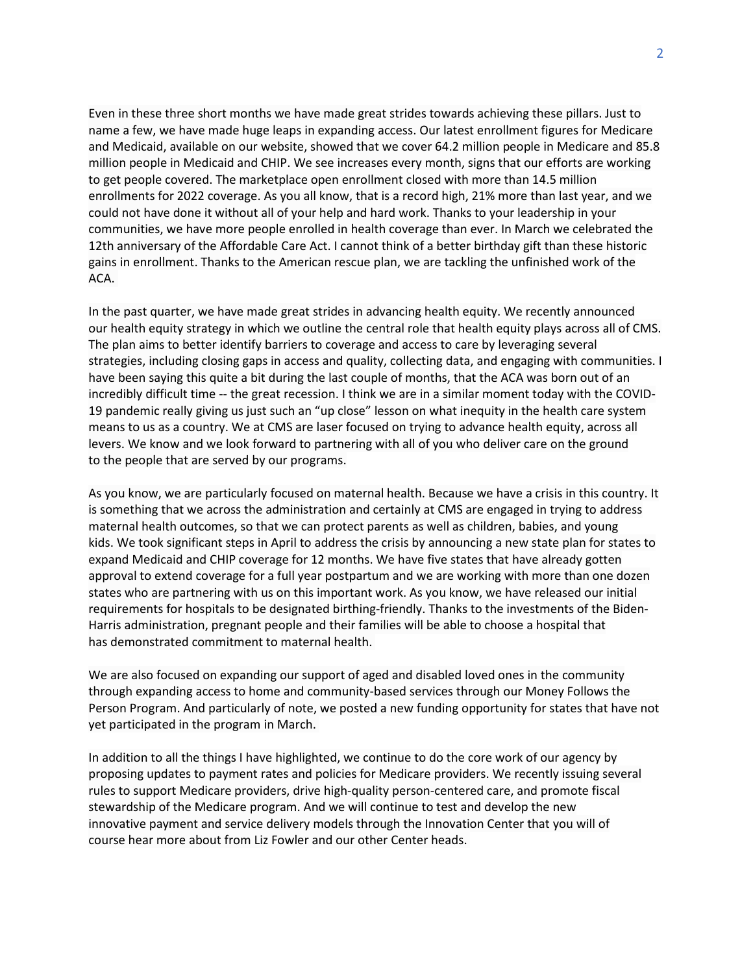Even in these three short months we have made great strides towards achieving these pillars. Just to name a few, we have made huge leaps in expanding access. Our latest enrollment figures for Medicare and Medicaid, available on our website, showed that we cover 64.2 million people in Medicare and 85.8 million people in Medicaid and CHIP. We see increases every month, signs that our efforts are working to get people covered. The marketplace open enrollment closed with more than 14.5 million enrollments for 2022 coverage. As you all know, that is a record high, 21% more than last year, and we could not have done it without all of your help and hard work. Thanks to your leadership in your communities, we have more people enrolled in health coverage than ever. In March we celebrated the 12th anniversary of the Affordable Care Act. I cannot think of a better birthday gift than these historic gains in enrollment. Thanks to the American rescue plan, we are tackling the unfinished work of the ACA.

In the past quarter, we have made great strides in advancing health equity. We recently announced our health equity strategy in which we outline the central role that health equity plays across all of CMS. The plan aims to better identify barriers to coverage and access to care by leveraging several strategies, including closing gaps in access and quality, collecting data, and engaging with communities. I have been saying this quite a bit during the last couple of months, that the ACA was born out of an incredibly difficult time -- the great recession. I think we are in a similar moment today with the COVID-19 pandemic really giving us just such an "up close" lesson on what inequity in the health care system means to us as a country. We at CMS are laser focused on trying to advance health equity, across all levers. We know and we look forward to partnering with all of you who deliver care on the ground to the people that are served by our programs.

As you know, we are particularly focused on maternal health. Because we have a crisis in this country. It is something that we across the administration and certainly at CMS are engaged in trying to address maternal health outcomes, so that we can protect parents as well as children, babies, and young kids. We took significant steps in April to address the crisis by announcing a new state plan for states to expand Medicaid and CHIP coverage for 12 months. We have five states that have already gotten approval to extend coverage for a full year postpartum and we are working with more than one dozen states who are partnering with us on this important work. As you know, we have released our initial requirements for hospitals to be designated birthing-friendly. Thanks to the investments of the Biden-Harris administration, pregnant people and their families will be able to choose a hospital that has demonstrated commitment to maternal health.

We are also focused on expanding our support of aged and disabled loved ones in the community through expanding access to home and community-based services through our Money Follows the Person Program. And particularly of note, we posted a new funding opportunity for states that have not yet participated in the program in March.

In addition to all the things I have highlighted, we continue to do the core work of our agency by proposing updates to payment rates and policies for Medicare providers. We recently issuing several rules to support Medicare providers, drive high-quality person-centered care, and promote fiscal stewardship of the Medicare program. And we will continue to test and develop the new innovative payment and service delivery models through the Innovation Center that you will of course hear more about from Liz Fowler and our other Center heads.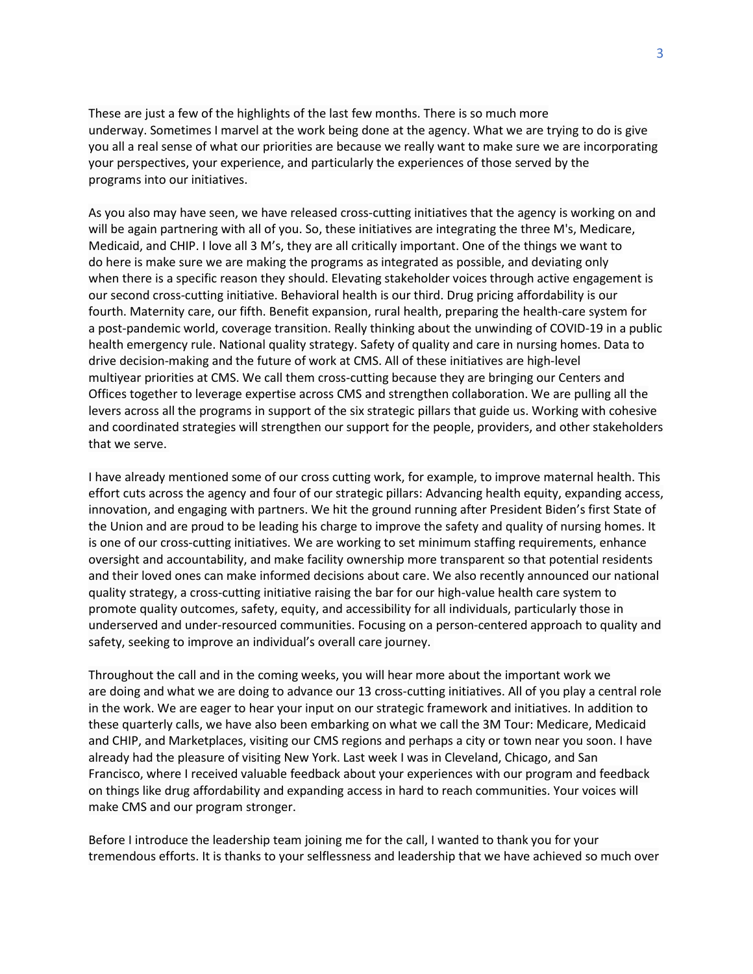These are just a few of the highlights of the last few months. There is so much more underway. Sometimes I marvel at the work being done at the agency. What we are trying to do is give you all a real sense of what our priorities are because we really want to make sure we are incorporating your perspectives, your experience, and particularly the experiences of those served by the programs into our initiatives.

As you also may have seen, we have released cross-cutting initiatives that the agency is working on and will be again partnering with all of you. So, these initiatives are integrating the three M's, Medicare, Medicaid, and CHIP. I love all 3 M's, they are all critically important. One of the things we want to do here is make sure we are making the programs as integrated as possible, and deviating only when there is a specific reason they should. Elevating stakeholder voices through active engagement is our second cross-cutting initiative. Behavioral health is our third. Drug pricing affordability is our fourth. Maternity care, our fifth. Benefit expansion, rural health, preparing the health-care system for a post-pandemic world, coverage transition. Really thinking about the unwinding of COVID-19 in a public health emergency rule. National quality strategy. Safety of quality and care in nursing homes. Data to drive decision-making and the future of work at CMS. All of these initiatives are high-level multiyear priorities at CMS. We call them cross-cutting because they are bringing our Centers and Offices together to leverage expertise across CMS and strengthen collaboration. We are pulling all the levers across all the programs in support of the six strategic pillars that guide us. Working with cohesive and coordinated strategies will strengthen our support for the people, providers, and other stakeholders that we serve.

I have already mentioned some of our cross cutting work, for example, to improve maternal health. This effort cuts across the agency and four of our strategic pillars: Advancing health equity, expanding access, innovation, and engaging with partners. We hit the ground running after President Biden's first State of the Union and are proud to be leading his charge to improve the safety and quality of nursing homes. It is one of our cross-cutting initiatives. We are working to set minimum staffing requirements, enhance oversight and accountability, and make facility ownership more transparent so that potential residents and their loved ones can make informed decisions about care. We also recently announced our national quality strategy, a cross-cutting initiative raising the bar for our high-value health care system to promote quality outcomes, safety, equity, and accessibility for all individuals, particularly those in underserved and under-resourced communities. Focusing on a person-centered approach to quality and safety, seeking to improve an individual's overall care journey.

Throughout the call and in the coming weeks, you will hear more about the important work we are doing and what we are doing to advance our 13 cross-cutting initiatives. All of you play a central role in the work. We are eager to hear your input on our strategic framework and initiatives. In addition to these quarterly calls, we have also been embarking on what we call the 3M Tour: Medicare, Medicaid and CHIP, and Marketplaces, visiting our CMS regions and perhaps a city or town near you soon. I have already had the pleasure of visiting New York. Last week I was in Cleveland, Chicago, and San Francisco, where I received valuable feedback about your experiences with our program and feedback on things like drug affordability and expanding access in hard to reach communities. Your voices will make CMS and our program stronger.

Before I introduce the leadership team joining me for the call, I wanted to thank you for your tremendous efforts. It is thanks to your selflessness and leadership that we have achieved so much over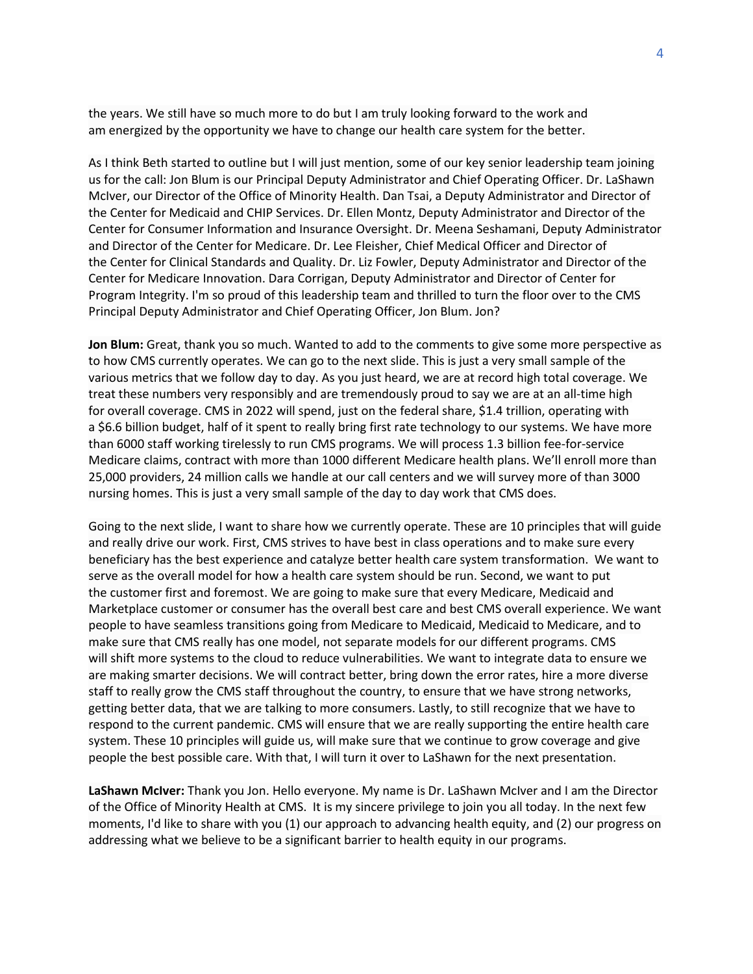the years. We still have so much more to do but I am truly looking forward to the work and am energized by the opportunity we have to change our health care system for the better.

As I think Beth started to outline but I will just mention, some of our key senior leadership team joining us for the call: Jon Blum is our Principal Deputy Administrator and Chief Operating Officer. Dr. LaShawn McIver, our Director of the Office of Minority Health. Dan Tsai, a Deputy Administrator and Director of the Center for Medicaid and CHIP Services. Dr. Ellen Montz, Deputy Administrator and Director of the Center for Consumer Information and Insurance Oversight. Dr. Meena Seshamani, Deputy Administrator and Director of the Center for Medicare. Dr. Lee Fleisher, Chief Medical Officer and Director of the Center for Clinical Standards and Quality. Dr. Liz Fowler, Deputy Administrator and Director of the Center for Medicare Innovation. Dara Corrigan, Deputy Administrator and Director of Center for Program Integrity. I'm so proud of this leadership team and thrilled to turn the floor over to the CMS Principal Deputy Administrator and Chief Operating Officer, Jon Blum. Jon?

**Jon Blum:** Great, thank you so much. Wanted to add to the comments to give some more perspective as to how CMS currently operates. We can go to the next slide. This is just a very small sample of the various metrics that we follow day to day. As you just heard, we are at record high total coverage. We treat these numbers very responsibly and are tremendously proud to say we are at an all-time high for overall coverage. CMS in 2022 will spend, just on the federal share, \$1.4 trillion, operating with a \$6.6 billion budget, half of it spent to really bring first rate technology to our systems. We have more than 6000 staff working tirelessly to run CMS programs. We will process 1.3 billion fee-for-service Medicare claims, contract with more than 1000 different Medicare health plans. We'll enroll more than 25,000 providers, 24 million calls we handle at our call centers and we will survey more of than 3000 nursing homes. This is just a very small sample of the day to day work that CMS does.

Going to the next slide, I want to share how we currently operate. These are 10 principles that will guide and really drive our work. First, CMS strives to have best in class operations and to make sure every beneficiary has the best experience and catalyze better health care system transformation. We want to serve as the overall model for how a health care system should be run. Second, we want to put the customer first and foremost. We are going to make sure that every Medicare, Medicaid and Marketplace customer or consumer has the overall best care and best CMS overall experience. We want people to have seamless transitions going from Medicare to Medicaid, Medicaid to Medicare, and to make sure that CMS really has one model, not separate models for our different programs. CMS will shift more systems to the cloud to reduce vulnerabilities. We want to integrate data to ensure we are making smarter decisions. We will contract better, bring down the error rates, hire a more diverse staff to really grow the CMS staff throughout the country, to ensure that we have strong networks, getting better data, that we are talking to more consumers. Lastly, to still recognize that we have to respond to the current pandemic. CMS will ensure that we are really supporting the entire health care system. These 10 principles will guide us, will make sure that we continue to grow coverage and give people the best possible care. With that, I will turn it over to LaShawn for the next presentation.

**LaShawn McIver:** Thank you Jon. Hello everyone. My name is Dr. LaShawn McIver and I am the Director of the Office of Minority Health at CMS. It is my sincere privilege to join you all today. In the next few moments, I'd like to share with you (1) our approach to advancing health equity, and (2) our progress on addressing what we believe to be a significant barrier to health equity in our programs.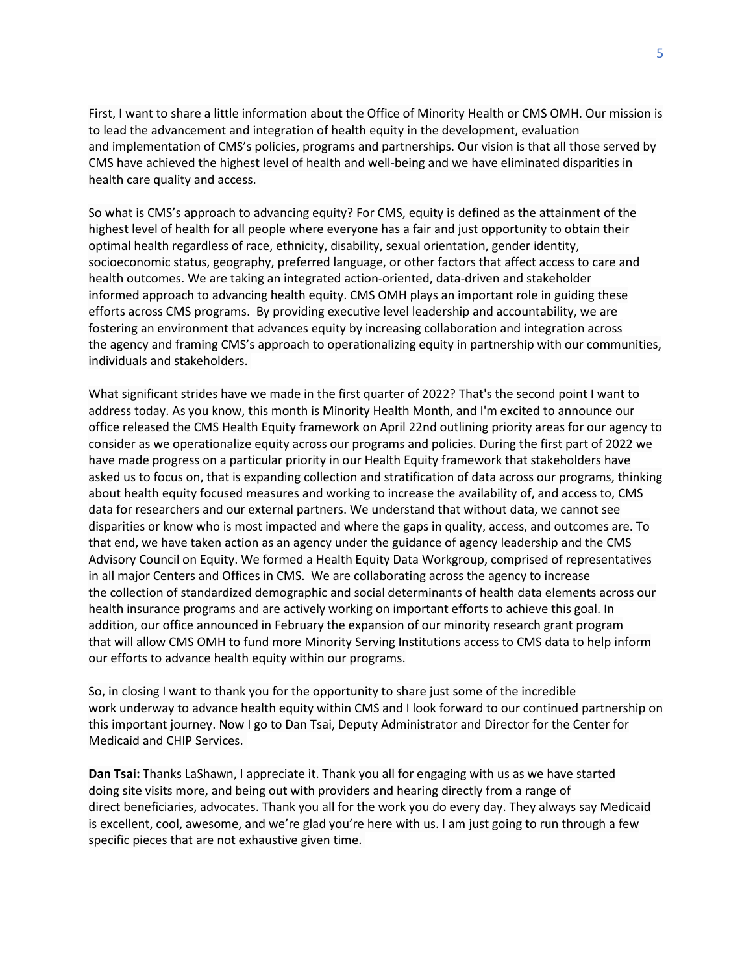First, I want to share a little information about the Office of Minority Health or CMS OMH. Our mission is to lead the advancement and integration of health equity in the development, evaluation and implementation of CMS's policies, programs and partnerships. Our vision is that all those served by CMS have achieved the highest level of health and well-being and we have eliminated disparities in health care quality and access.

So what is CMS's approach to advancing equity? For CMS, equity is defined as the attainment of the highest level of health for all people where everyone has a fair and just opportunity to obtain their optimal health regardless of race, ethnicity, disability, sexual orientation, gender identity, socioeconomic status, geography, preferred language, or other factors that affect access to care and health outcomes. We are taking an integrated action-oriented, data-driven and stakeholder informed approach to advancing health equity. CMS OMH plays an important role in guiding these efforts across CMS programs. By providing executive level leadership and accountability, we are fostering an environment that advances equity by increasing collaboration and integration across the agency and framing CMS's approach to operationalizing equity in partnership with our communities, individuals and stakeholders.

What significant strides have we made in the first quarter of 2022? That's the second point I want to address today. As you know, this month is Minority Health Month, and I'm excited to announce our office released the CMS Health Equity framework on April 22nd outlining priority areas for our agency to consider as we operationalize equity across our programs and policies. During the first part of 2022 we have made progress on a particular priority in our Health Equity framework that stakeholders have asked us to focus on, that is expanding collection and stratification of data across our programs, thinking about health equity focused measures and working to increase the availability of, and access to, CMS data for researchers and our external partners. We understand that without data, we cannot see disparities or know who is most impacted and where the gaps in quality, access, and outcomes are. To that end, we have taken action as an agency under the guidance of agency leadership and the CMS Advisory Council on Equity. We formed a Health Equity Data Workgroup, comprised of representatives in all major Centers and Offices in CMS. We are collaborating across the agency to increase the collection of standardized demographic and social determinants of health data elements across our health insurance programs and are actively working on important efforts to achieve this goal. In addition, our office announced in February the expansion of our minority research grant program that will allow CMS OMH to fund more Minority Serving Institutions access to CMS data to help inform our efforts to advance health equity within our programs.

So, in closing I want to thank you for the opportunity to share just some of the incredible work underway to advance health equity within CMS and I look forward to our continued partnership on this important journey. Now I go to Dan Tsai, Deputy Administrator and Director for the Center for Medicaid and CHIP Services.

**Dan Tsai:** Thanks LaShawn, I appreciate it. Thank you all for engaging with us as we have started doing site visits more, and being out with providers and hearing directly from a range of direct beneficiaries, advocates. Thank you all for the work you do every day. They always say Medicaid is excellent, cool, awesome, and we're glad you're here with us. I am just going to run through a few specific pieces that are not exhaustive given time.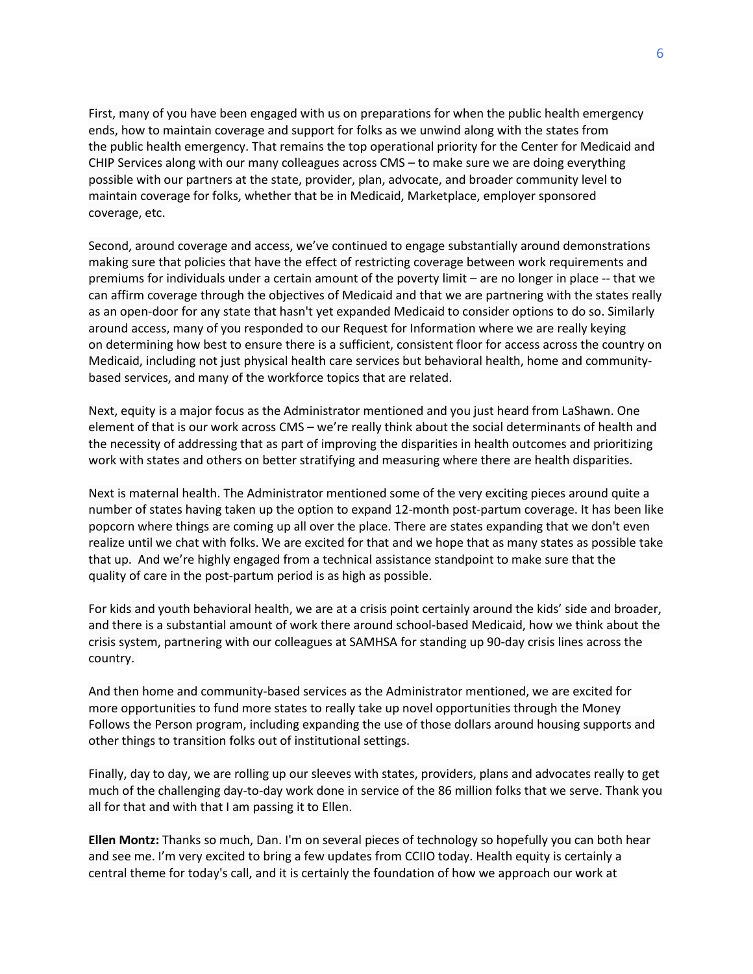First, many of you have been engaged with us on preparations for when the public health emergency ends, how to maintain coverage and support for folks as we unwind along with the states from the public health emergency. That remains the top operational priority for the Center for Medicaid and CHIP Services along with our many colleagues across CMS – to make sure we are doing everything possible with our partners at the state, provider, plan, advocate, and broader community level to maintain coverage for folks, whether that be in Medicaid, Marketplace, employer sponsored coverage, etc.

Second, around coverage and access, we've continued to engage substantially around demonstrations making sure that policies that have the effect of restricting coverage between work requirements and premiums for individuals under a certain amount of the poverty limit – are no longer in place -- that we can affirm coverage through the objectives of Medicaid and that we are partnering with the states really as an open-door for any state that hasn't yet expanded Medicaid to consider options to do so. Similarly around access, many of you responded to our Request for Information where we are really keying on determining how best to ensure there is a sufficient, consistent floor for access across the country on Medicaid, including not just physical health care services but behavioral health, home and communitybased services, and many of the workforce topics that are related.

Next, equity is a major focus as the Administrator mentioned and you just heard from LaShawn. One element of that is our work across CMS – we're really think about the social determinants of health and the necessity of addressing that as part of improving the disparities in health outcomes and prioritizing work with states and others on better stratifying and measuring where there are health disparities.

Next is maternal health. The Administrator mentioned some of the very exciting pieces around quite a number of states having taken up the option to expand 12-month post-partum coverage. It has been like popcorn where things are coming up all over the place. There are states expanding that we don't even realize until we chat with folks. We are excited for that and we hope that as many states as possible take that up. And we're highly engaged from a technical assistance standpoint to make sure that the quality of care in the post-partum period is as high as possible.

For kids and youth behavioral health, we are at a crisis point certainly around the kids' side and broader, and there is a substantial amount of work there around school-based Medicaid, how we think about the crisis system, partnering with our colleagues at SAMHSA for standing up 90-day crisis lines across the country.

And then home and community-based services as the Administrator mentioned, we are excited for more opportunities to fund more states to really take up novel opportunities through the Money Follows the Person program, including expanding the use of those dollars around housing supports and other things to transition folks out of institutional settings.

Finally, day to day, we are rolling up our sleeves with states, providers, plans and advocates really to get much of the challenging day-to-day work done in service of the 86 million folks that we serve. Thank you all for that and with that I am passing it to Ellen.

**Ellen Montz:** Thanks so much, Dan. I'm on several pieces of technology so hopefully you can both hear and see me. I'm very excited to bring a few updates from CCIIO today. Health equity is certainly a central theme for today's call, and it is certainly the foundation of how we approach our work at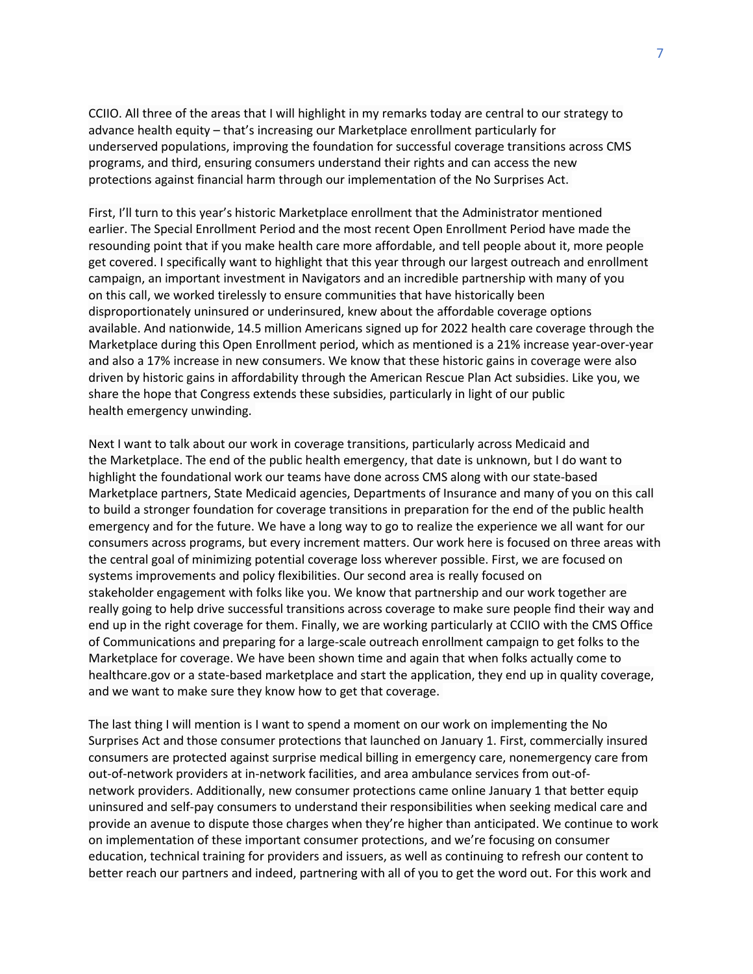CCIIO. All three of the areas that I will highlight in my remarks today are central to our strategy to advance health equity – that's increasing our Marketplace enrollment particularly for underserved populations, improving the foundation for successful coverage transitions across CMS programs, and third, ensuring consumers understand their rights and can access the new protections against financial harm through our implementation of the No Surprises Act.

First, I'll turn to this year's historic Marketplace enrollment that the Administrator mentioned earlier. The Special Enrollment Period and the most recent Open Enrollment Period have made the resounding point that if you make health care more affordable, and tell people about it, more people get covered. I specifically want to highlight that this year through our largest outreach and enrollment campaign, an important investment in Navigators and an incredible partnership with many of you on this call, we worked tirelessly to ensure communities that have historically been disproportionately uninsured or underinsured, knew about the affordable coverage options available. And nationwide, 14.5 million Americans signed up for 2022 health care coverage through the Marketplace during this Open Enrollment period, which as mentioned is a 21% increase year-over-year and also a 17% increase in new consumers. We know that these historic gains in coverage were also driven by historic gains in affordability through the American Rescue Plan Act subsidies. Like you, we share the hope that Congress extends these subsidies, particularly in light of our public health emergency unwinding.

Next I want to talk about our work in coverage transitions, particularly across Medicaid and the Marketplace. The end of the public health emergency, that date is unknown, but I do want to highlight the foundational work our teams have done across CMS along with our state-based Marketplace partners, State Medicaid agencies, Departments of Insurance and many of you on this call to build a stronger foundation for coverage transitions in preparation for the end of the public health emergency and for the future. We have a long way to go to realize the experience we all want for our consumers across programs, but every increment matters. Our work here is focused on three areas with the central goal of minimizing potential coverage loss wherever possible. First, we are focused on systems improvements and policy flexibilities. Our second area is really focused on stakeholder engagement with folks like you. We know that partnership and our work together are really going to help drive successful transitions across coverage to make sure people find their way and end up in the right coverage for them. Finally, we are working particularly at CCIIO with the CMS Office of Communications and preparing for a large-scale outreach enrollment campaign to get folks to the Marketplace for coverage. We have been shown time and again that when folks actually come to healthcare.gov or a state-based marketplace and start the application, they end up in quality coverage, and we want to make sure they know how to get that coverage.

The last thing I will mention is I want to spend a moment on our work on implementing the No Surprises Act and those consumer protections that launched on January 1. First, commercially insured consumers are protected against surprise medical billing in emergency care, nonemergency care from out-of-network providers at in-network facilities, and area ambulance services from out-ofnetwork providers. Additionally, new consumer protections came online January 1 that better equip uninsured and self-pay consumers to understand their responsibilities when seeking medical care and provide an avenue to dispute those charges when they're higher than anticipated. We continue to work on implementation of these important consumer protections, and we're focusing on consumer education, technical training for providers and issuers, as well as continuing to refresh our content to better reach our partners and indeed, partnering with all of you to get the word out. For this work and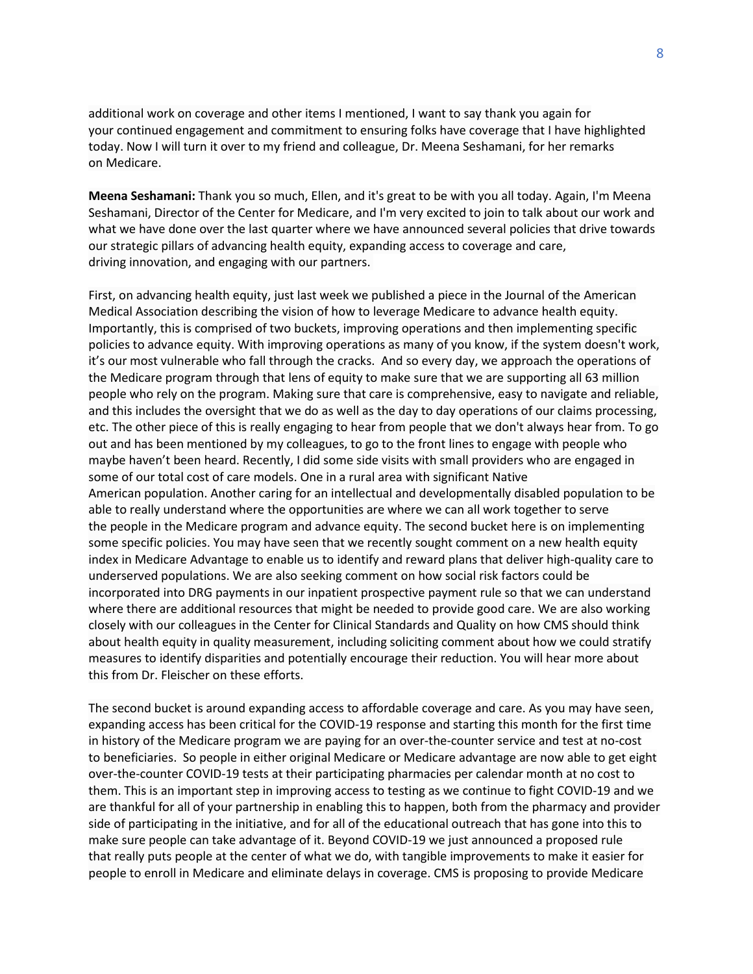additional work on coverage and other items I mentioned, I want to say thank you again for your continued engagement and commitment to ensuring folks have coverage that I have highlighted today. Now I will turn it over to my friend and colleague, Dr. Meena Seshamani, for her remarks on Medicare.

**Meena Seshamani:** Thank you so much, Ellen, and it's great to be with you all today. Again, I'm Meena Seshamani, Director of the Center for Medicare, and I'm very excited to join to talk about our work and what we have done over the last quarter where we have announced several policies that drive towards our strategic pillars of advancing health equity, expanding access to coverage and care, driving innovation, and engaging with our partners.

First, on advancing health equity, just last week we published a piece in the Journal of the American Medical Association describing the vision of how to leverage Medicare to advance health equity. Importantly, this is comprised of two buckets, improving operations and then implementing specific policies to advance equity. With improving operations as many of you know, if the system doesn't work, it's our most vulnerable who fall through the cracks. And so every day, we approach the operations of the Medicare program through that lens of equity to make sure that we are supporting all 63 million people who rely on the program. Making sure that care is comprehensive, easy to navigate and reliable, and this includes the oversight that we do as well as the day to day operations of our claims processing, etc. The other piece of this is really engaging to hear from people that we don't always hear from. To go out and has been mentioned by my colleagues, to go to the front lines to engage with people who maybe haven't been heard. Recently, I did some side visits with small providers who are engaged in some of our total cost of care models. One in a rural area with significant Native American population. Another caring for an intellectual and developmentally disabled population to be able to really understand where the opportunities are where we can all work together to serve the people in the Medicare program and advance equity. The second bucket here is on implementing some specific policies. You may have seen that we recently sought comment on a new health equity index in Medicare Advantage to enable us to identify and reward plans that deliver high-quality care to underserved populations. We are also seeking comment on how social risk factors could be incorporated into DRG payments in our inpatient prospective payment rule so that we can understand where there are additional resources that might be needed to provide good care. We are also working closely with our colleagues in the Center for Clinical Standards and Quality on how CMS should think about health equity in quality measurement, including soliciting comment about how we could stratify measures to identify disparities and potentially encourage their reduction. You will hear more about this from Dr. Fleischer on these efforts.

The second bucket is around expanding access to affordable coverage and care. As you may have seen, expanding access has been critical for the COVID-19 response and starting this month for the first time in history of the Medicare program we are paying for an over-the-counter service and test at no-cost to beneficiaries. So people in either original Medicare or Medicare advantage are now able to get eight over-the-counter COVID-19 tests at their participating pharmacies per calendar month at no cost to them. This is an important step in improving access to testing as we continue to fight COVID-19 and we are thankful for all of your partnership in enabling this to happen, both from the pharmacy and provider side of participating in the initiative, and for all of the educational outreach that has gone into this to make sure people can take advantage of it. Beyond COVID-19 we just announced a proposed rule that really puts people at the center of what we do, with tangible improvements to make it easier for people to enroll in Medicare and eliminate delays in coverage. CMS is proposing to provide Medicare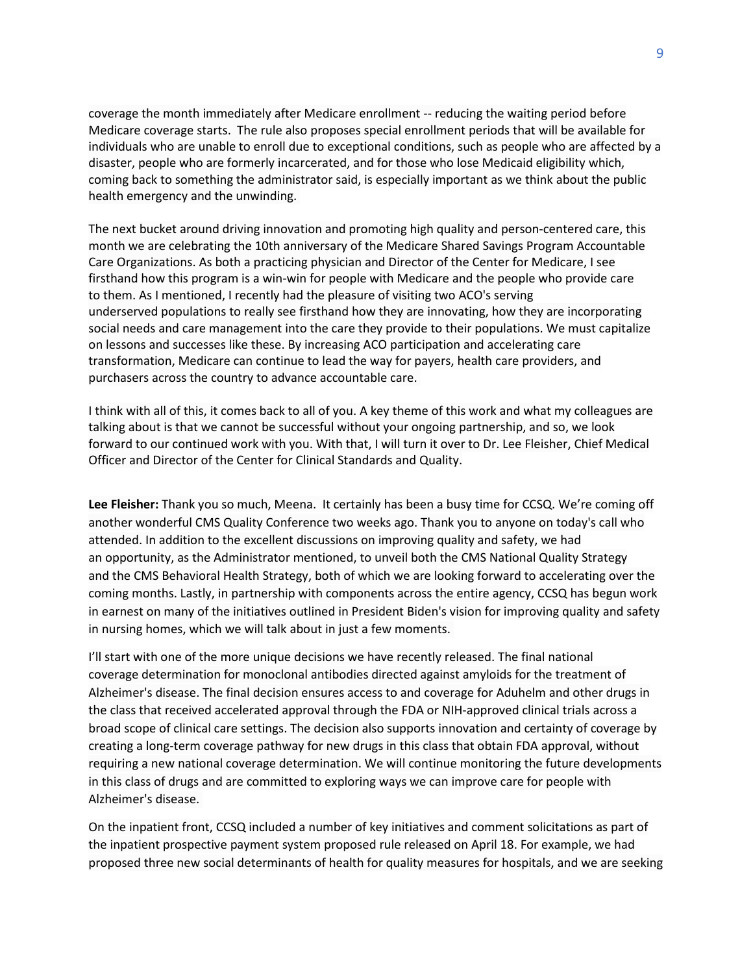coverage the month immediately after Medicare enrollment -- reducing the waiting period before Medicare coverage starts. The rule also proposes special enrollment periods that will be available for individuals who are unable to enroll due to exceptional conditions, such as people who are affected by a disaster, people who are formerly incarcerated, and for those who lose Medicaid eligibility which, coming back to something the administrator said, is especially important as we think about the public health emergency and the unwinding.

The next bucket around driving innovation and promoting high quality and person-centered care, this month we are celebrating the 10th anniversary of the Medicare Shared Savings Program Accountable Care Organizations. As both a practicing physician and Director of the Center for Medicare, I see firsthand how this program is a win-win for people with Medicare and the people who provide care to them. As I mentioned, I recently had the pleasure of visiting two ACO's serving underserved populations to really see firsthand how they are innovating, how they are incorporating social needs and care management into the care they provide to their populations. We must capitalize on lessons and successes like these. By increasing ACO participation and accelerating care transformation, Medicare can continue to lead the way for payers, health care providers, and purchasers across the country to advance accountable care.

I think with all of this, it comes back to all of you. A key theme of this work and what my colleagues are talking about is that we cannot be successful without your ongoing partnership, and so, we look forward to our continued work with you. With that, I will turn it over to Dr. Lee Fleisher, Chief Medical Officer and Director of the Center for Clinical Standards and Quality.

**Lee Fleisher:** Thank you so much, Meena. It certainly has been a busy time for CCSQ. We're coming off another wonderful CMS Quality Conference two weeks ago. Thank you to anyone on today's call who attended. In addition to the excellent discussions on improving quality and safety, we had an opportunity, as the Administrator mentioned, to unveil both the CMS National Quality Strategy and the CMS Behavioral Health Strategy, both of which we are looking forward to accelerating over the coming months. Lastly, in partnership with components across the entire agency, CCSQ has begun work in earnest on many of the initiatives outlined in President Biden's vision for improving quality and safety in nursing homes, which we will talk about in just a few moments.

I'll start with one of the more unique decisions we have recently released. The final national coverage determination for monoclonal antibodies directed against amyloids for the treatment of Alzheimer's disease. The final decision ensures access to and coverage for Aduhelm and other drugs in the class that received accelerated approval through the FDA or NIH-approved clinical trials across a broad scope of clinical care settings. The decision also supports innovation and certainty of coverage by creating a long-term coverage pathway for new drugs in this class that obtain FDA approval, without requiring a new national coverage determination. We will continue monitoring the future developments in this class of drugs and are committed to exploring ways we can improve care for people with Alzheimer's disease.

On the inpatient front, CCSQ included a number of key initiatives and comment solicitations as part of the inpatient prospective payment system proposed rule released on April 18. For example, we had proposed three new social determinants of health for quality measures for hospitals, and we are seeking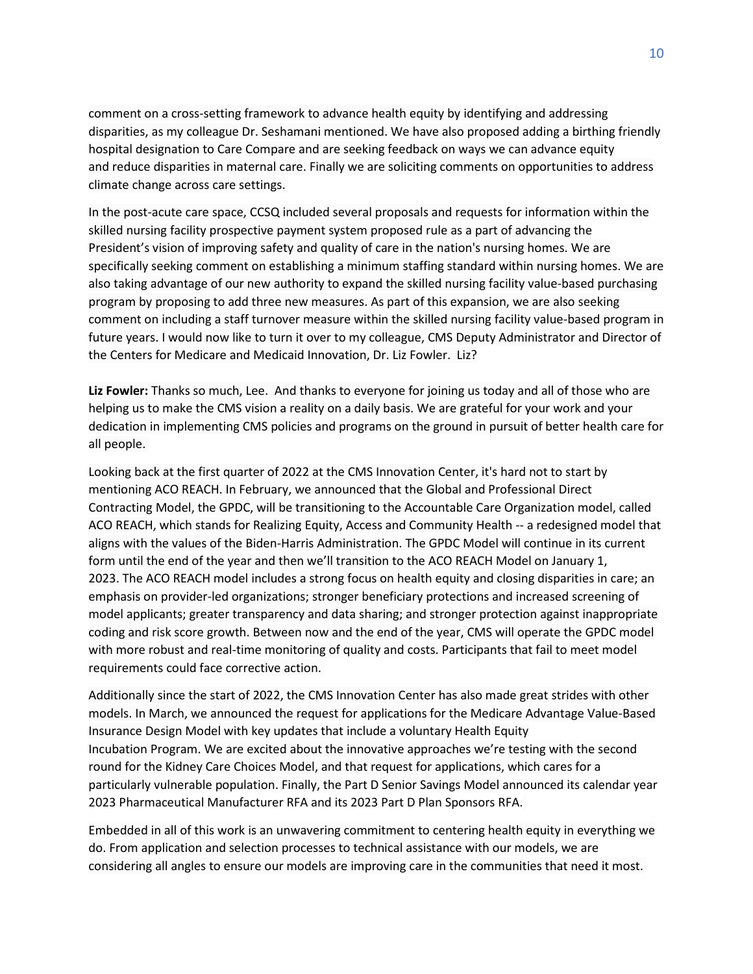comment on a cross-setting framework to advance health equity by identifying and addressing disparities, as my colleague Dr. Seshamani mentioned. We have also proposed adding a birthing friendly hospital designation to Care Compare and are seeking feedback on ways we can advance equity and reduce disparities in maternal care. Finally we are soliciting comments on opportunities to address climate change across care settings.

In the post-acute care space, CCSQ included several proposals and requests for information within the skilled nursing facility prospective payment system proposed rule as a part of advancing the President's vision of improving safety and quality of care in the nation's nursing homes. We are specifically seeking comment on establishing a minimum staffing standard within nursing homes. We are also taking advantage of our new authority to expand the skilled nursing facility value-based purchasing program by proposing to add three new measures. As part of this expansion, we are also seeking comment on including a staff turnover measure within the skilled nursing facility value-based program in future years. I would now like to turn it over to my colleague, CMS Deputy Administrator and Director of the Centers for Medicare and Medicaid Innovation, Dr. Liz Fowler. Liz?

**Liz Fowler:** Thanks so much, Lee. And thanks to everyone for joining us today and all of those who are helping us to make the CMS vision a reality on a daily basis. We are grateful for your work and your dedication in implementing CMS policies and programs on the ground in pursuit of better health care for all people.

Looking back at the first quarter of 2022 at the CMS Innovation Center, it's hard not to start by mentioning ACO REACH. In February, we announced that the Global and Professional Direct Contracting Model, the GPDC, will be transitioning to the Accountable Care Organization model, called ACO REACH, which stands for Realizing Equity, Access and Community Health -- a redesigned model that aligns with the values of the Biden-Harris Administration. The GPDC Model will continue in its current form until the end of the year and then we'll transition to the ACO REACH Model on January 1, 2023. The ACO REACH model includes a strong focus on health equity and closing disparities in care; an emphasis on provider-led organizations; stronger beneficiary protections and increased screening of model applicants; greater transparency and data sharing; and stronger protection against inappropriate coding and risk score growth. Between now and the end of the year, CMS will operate the GPDC model with more robust and real-time monitoring of quality and costs. Participants that fail to meet model requirements could face corrective action.

Additionally since the start of 2022, the CMS Innovation Center has also made great strides with other models. In March, we announced the request for applications for the Medicare Advantage Value-Based Insurance Design Model with key updates that include a voluntary Health Equity Incubation Program. We are excited about the innovative approaches we're testing with the second round for the Kidney Care Choices Model, and that request for applications, which cares for a particularly vulnerable population. Finally, the Part D Senior Savings Model announced its calendar year 2023 Pharmaceutical Manufacturer RFA and its 2023 Part D Plan Sponsors RFA.

Embedded in all of this work is an unwavering commitment to centering health equity in everything we do. From application and selection processes to technical assistance with our models, we are considering all angles to ensure our models are improving care in the communities that need it most.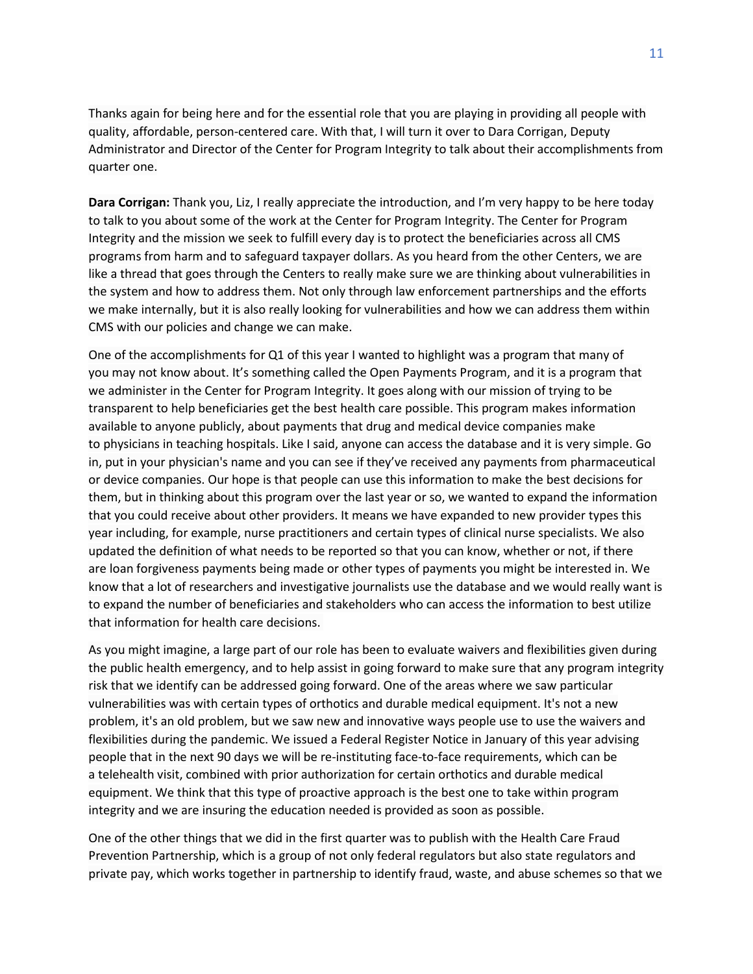Thanks again for being here and for the essential role that you are playing in providing all people with quality, affordable, person-centered care. With that, I will turn it over to Dara Corrigan, Deputy Administrator and Director of the Center for Program Integrity to talk about their accomplishments from quarter one.

**Dara Corrigan:** Thank you, Liz, I really appreciate the introduction, and I'm very happy to be here today to talk to you about some of the work at the Center for Program Integrity. The Center for Program Integrity and the mission we seek to fulfill every day is to protect the beneficiaries across all CMS programs from harm and to safeguard taxpayer dollars. As you heard from the other Centers, we are like a thread that goes through the Centers to really make sure we are thinking about vulnerabilities in the system and how to address them. Not only through law enforcement partnerships and the efforts we make internally, but it is also really looking for vulnerabilities and how we can address them within CMS with our policies and change we can make.

One of the accomplishments for Q1 of this year I wanted to highlight was a program that many of you may not know about. It's something called the Open Payments Program, and it is a program that we administer in the Center for Program Integrity. It goes along with our mission of trying to be transparent to help beneficiaries get the best health care possible. This program makes information available to anyone publicly, about payments that drug and medical device companies make to physicians in teaching hospitals. Like I said, anyone can access the database and it is very simple. Go in, put in your physician's name and you can see if they've received any payments from pharmaceutical or device companies. Our hope is that people can use this information to make the best decisions for them, but in thinking about this program over the last year or so, we wanted to expand the information that you could receive about other providers. It means we have expanded to new provider types this year including, for example, nurse practitioners and certain types of clinical nurse specialists. We also updated the definition of what needs to be reported so that you can know, whether or not, if there are loan forgiveness payments being made or other types of payments you might be interested in. We know that a lot of researchers and investigative journalists use the database and we would really want is to expand the number of beneficiaries and stakeholders who can access the information to best utilize that information for health care decisions.

As you might imagine, a large part of our role has been to evaluate waivers and flexibilities given during the public health emergency, and to help assist in going forward to make sure that any program integrity risk that we identify can be addressed going forward. One of the areas where we saw particular vulnerabilities was with certain types of orthotics and durable medical equipment. It's not a new problem, it's an old problem, but we saw new and innovative ways people use to use the waivers and flexibilities during the pandemic. We issued a Federal Register Notice in January of this year advising people that in the next 90 days we will be re-instituting face-to-face requirements, which can be a telehealth visit, combined with prior authorization for certain orthotics and durable medical equipment. We think that this type of proactive approach is the best one to take within program integrity and we are insuring the education needed is provided as soon as possible.

One of the other things that we did in the first quarter was to publish with the Health Care Fraud Prevention Partnership, which is a group of not only federal regulators but also state regulators and private pay, which works together in partnership to identify fraud, waste, and abuse schemes so that we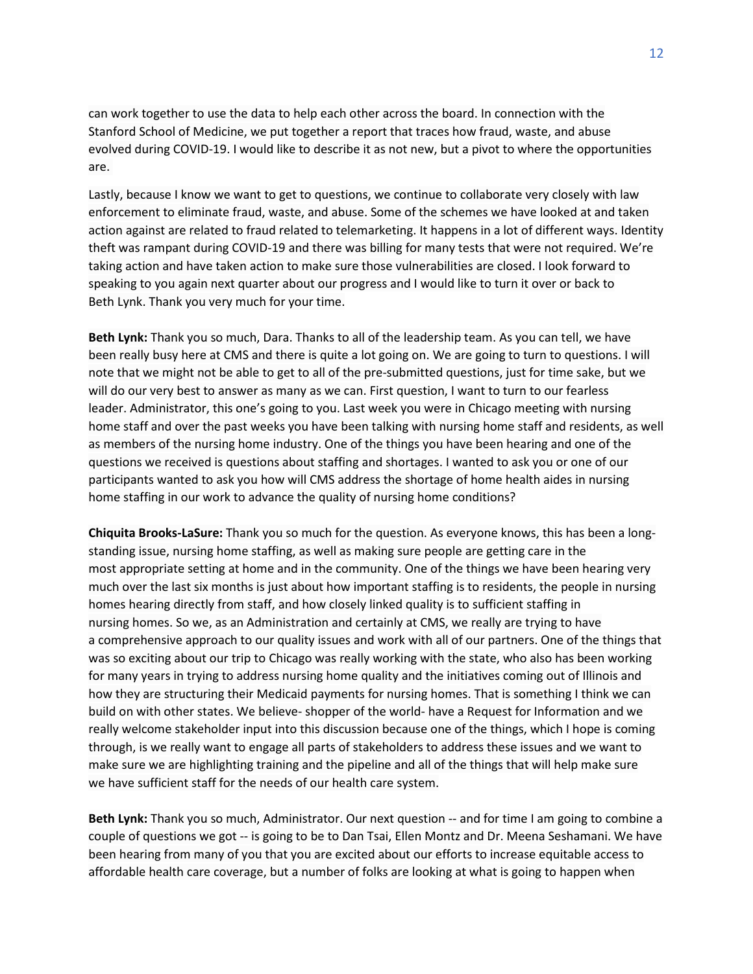can work together to use the data to help each other across the board. In connection with the Stanford School of Medicine, we put together a report that traces how fraud, waste, and abuse evolved during COVID-19. I would like to describe it as not new, but a pivot to where the opportunities are.

Lastly, because I know we want to get to questions, we continue to collaborate very closely with law enforcement to eliminate fraud, waste, and abuse. Some of the schemes we have looked at and taken action against are related to fraud related to telemarketing. It happens in a lot of different ways. Identity theft was rampant during COVID-19 and there was billing for many tests that were not required. We're taking action and have taken action to make sure those vulnerabilities are closed. I look forward to speaking to you again next quarter about our progress and I would like to turn it over or back to Beth Lynk. Thank you very much for your time.

**Beth Lynk:** Thank you so much, Dara. Thanks to all of the leadership team. As you can tell, we have been really busy here at CMS and there is quite a lot going on. We are going to turn to questions. I will note that we might not be able to get to all of the pre-submitted questions, just for time sake, but we will do our very best to answer as many as we can. First question, I want to turn to our fearless leader. Administrator, this one's going to you. Last week you were in Chicago meeting with nursing home staff and over the past weeks you have been talking with nursing home staff and residents, as well as members of the nursing home industry. One of the things you have been hearing and one of the questions we received is questions about staffing and shortages. I wanted to ask you or one of our participants wanted to ask you how will CMS address the shortage of home health aides in nursing home staffing in our work to advance the quality of nursing home conditions?

**Chiquita Brooks-LaSure:** Thank you so much for the question. As everyone knows, this has been a longstanding issue, nursing home staffing, as well as making sure people are getting care in the most appropriate setting at home and in the community. One of the things we have been hearing very much over the last six months is just about how important staffing is to residents, the people in nursing homes hearing directly from staff, and how closely linked quality is to sufficient staffing in nursing homes. So we, as an Administration and certainly at CMS, we really are trying to have a comprehensive approach to our quality issues and work with all of our partners. One of the things that was so exciting about our trip to Chicago was really working with the state, who also has been working for many years in trying to address nursing home quality and the initiatives coming out of Illinois and how they are structuring their Medicaid payments for nursing homes. That is something I think we can build on with other states. We believe- shopper of the world- have a Request for Information and we really welcome stakeholder input into this discussion because one of the things, which I hope is coming through, is we really want to engage all parts of stakeholders to address these issues and we want to make sure we are highlighting training and the pipeline and all of the things that will help make sure we have sufficient staff for the needs of our health care system.

**Beth Lynk:** Thank you so much, Administrator. Our next question -- and for time I am going to combine a couple of questions we got -- is going to be to Dan Tsai, Ellen Montz and Dr. Meena Seshamani. We have been hearing from many of you that you are excited about our efforts to increase equitable access to affordable health care coverage, but a number of folks are looking at what is going to happen when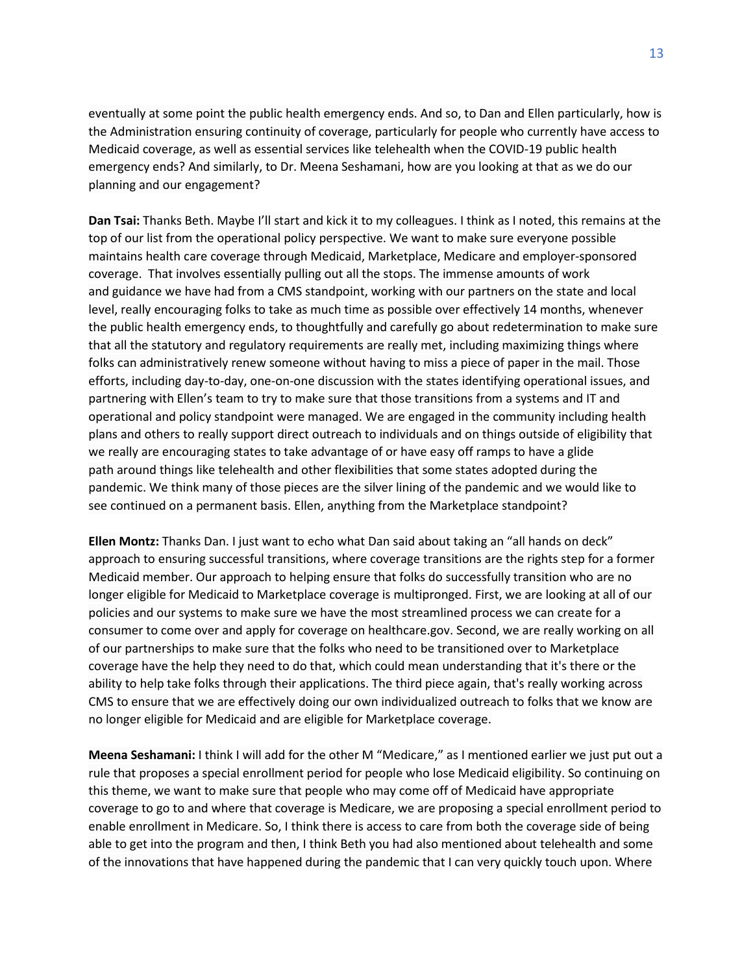eventually at some point the public health emergency ends. And so, to Dan and Ellen particularly, how is the Administration ensuring continuity of coverage, particularly for people who currently have access to Medicaid coverage, as well as essential services like telehealth when the COVID-19 public health emergency ends? And similarly, to Dr. Meena Seshamani, how are you looking at that as we do our planning and our engagement?

**Dan Tsai:** Thanks Beth. Maybe I'll start and kick it to my colleagues. I think as I noted, this remains at the top of our list from the operational policy perspective. We want to make sure everyone possible maintains health care coverage through Medicaid, Marketplace, Medicare and employer-sponsored coverage. That involves essentially pulling out all the stops. The immense amounts of work and guidance we have had from a CMS standpoint, working with our partners on the state and local level, really encouraging folks to take as much time as possible over effectively 14 months, whenever the public health emergency ends, to thoughtfully and carefully go about redetermination to make sure that all the statutory and regulatory requirements are really met, including maximizing things where folks can administratively renew someone without having to miss a piece of paper in the mail. Those efforts, including day-to-day, one-on-one discussion with the states identifying operational issues, and partnering with Ellen's team to try to make sure that those transitions from a systems and IT and operational and policy standpoint were managed. We are engaged in the community including health plans and others to really support direct outreach to individuals and on things outside of eligibility that we really are encouraging states to take advantage of or have easy off ramps to have a glide path around things like telehealth and other flexibilities that some states adopted during the pandemic. We think many of those pieces are the silver lining of the pandemic and we would like to see continued on a permanent basis. Ellen, anything from the Marketplace standpoint?

**Ellen Montz:** Thanks Dan. I just want to echo what Dan said about taking an "all hands on deck" approach to ensuring successful transitions, where coverage transitions are the rights step for a former Medicaid member. Our approach to helping ensure that folks do successfully transition who are no longer eligible for Medicaid to Marketplace coverage is multipronged. First, we are looking at all of our policies and our systems to make sure we have the most streamlined process we can create for a consumer to come over and apply for coverage on healthcare.gov. Second, we are really working on all of our partnerships to make sure that the folks who need to be transitioned over to Marketplace coverage have the help they need to do that, which could mean understanding that it's there or the ability to help take folks through their applications. The third piece again, that's really working across CMS to ensure that we are effectively doing our own individualized outreach to folks that we know are no longer eligible for Medicaid and are eligible for Marketplace coverage.

**Meena Seshamani:** I think I will add for the other M "Medicare," as I mentioned earlier we just put out a rule that proposes a special enrollment period for people who lose Medicaid eligibility. So continuing on this theme, we want to make sure that people who may come off of Medicaid have appropriate coverage to go to and where that coverage is Medicare, we are proposing a special enrollment period to enable enrollment in Medicare. So, I think there is access to care from both the coverage side of being able to get into the program and then, I think Beth you had also mentioned about telehealth and some of the innovations that have happened during the pandemic that I can very quickly touch upon. Where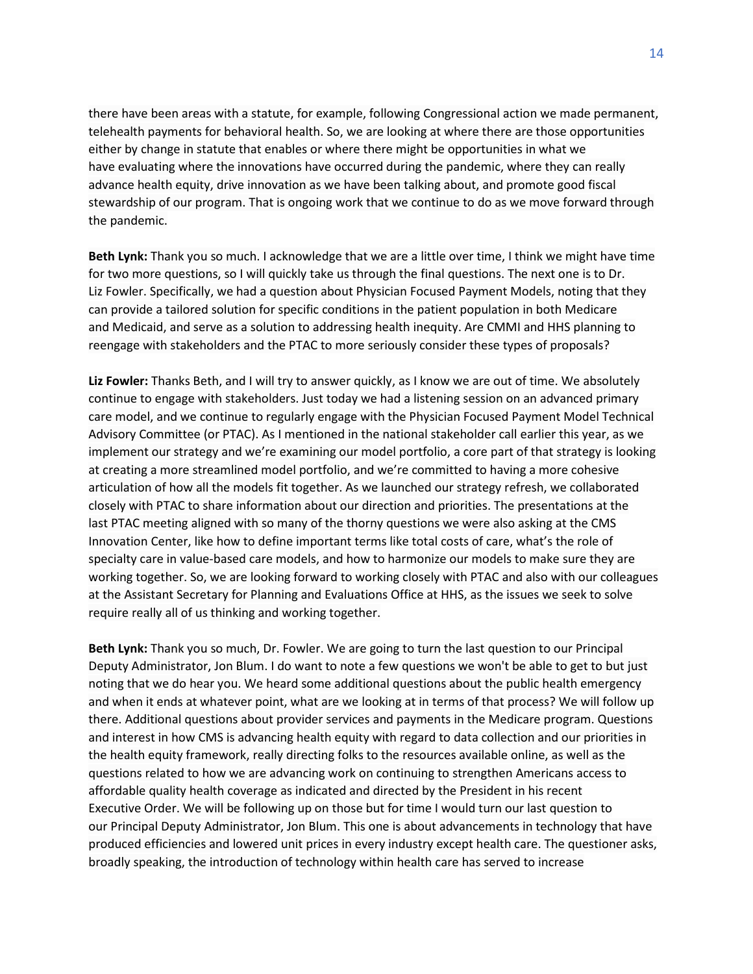there have been areas with a statute, for example, following Congressional action we made permanent, telehealth payments for behavioral health. So, we are looking at where there are those opportunities either by change in statute that enables or where there might be opportunities in what we have evaluating where the innovations have occurred during the pandemic, where they can really advance health equity, drive innovation as we have been talking about, and promote good fiscal stewardship of our program. That is ongoing work that we continue to do as we move forward through the pandemic.

**Beth Lynk:** Thank you so much. I acknowledge that we are a little over time, I think we might have time for two more questions, so I will quickly take us through the final questions. The next one is to Dr. Liz Fowler. Specifically, we had a question about Physician Focused Payment Models, noting that they can provide a tailored solution for specific conditions in the patient population in both Medicare and Medicaid, and serve as a solution to addressing health inequity. Are CMMI and HHS planning to reengage with stakeholders and the PTAC to more seriously consider these types of proposals?

**Liz Fowler:** Thanks Beth, and I will try to answer quickly, as I know we are out of time. We absolutely continue to engage with stakeholders. Just today we had a listening session on an advanced primary care model, and we continue to regularly engage with the Physician Focused Payment Model Technical Advisory Committee (or PTAC). As I mentioned in the national stakeholder call earlier this year, as we implement our strategy and we're examining our model portfolio, a core part of that strategy is looking at creating a more streamlined model portfolio, and we're committed to having a more cohesive articulation of how all the models fit together. As we launched our strategy refresh, we collaborated closely with PTAC to share information about our direction and priorities. The presentations at the last PTAC meeting aligned with so many of the thorny questions we were also asking at the CMS Innovation Center, like how to define important terms like total costs of care, what's the role of specialty care in value-based care models, and how to harmonize our models to make sure they are working together. So, we are looking forward to working closely with PTAC and also with our colleagues at the Assistant Secretary for Planning and Evaluations Office at HHS, as the issues we seek to solve require really all of us thinking and working together.

**Beth Lynk:** Thank you so much, Dr. Fowler. We are going to turn the last question to our Principal Deputy Administrator, Jon Blum. I do want to note a few questions we won't be able to get to but just noting that we do hear you. We heard some additional questions about the public health emergency and when it ends at whatever point, what are we looking at in terms of that process? We will follow up there. Additional questions about provider services and payments in the Medicare program. Questions and interest in how CMS is advancing health equity with regard to data collection and our priorities in the health equity framework, really directing folks to the resources available online, as well as the questions related to how we are advancing work on continuing to strengthen Americans access to affordable quality health coverage as indicated and directed by the President in his recent Executive Order. We will be following up on those but for time I would turn our last question to our Principal Deputy Administrator, Jon Blum. This one is about advancements in technology that have produced efficiencies and lowered unit prices in every industry except health care. The questioner asks, broadly speaking, the introduction of technology within health care has served to increase